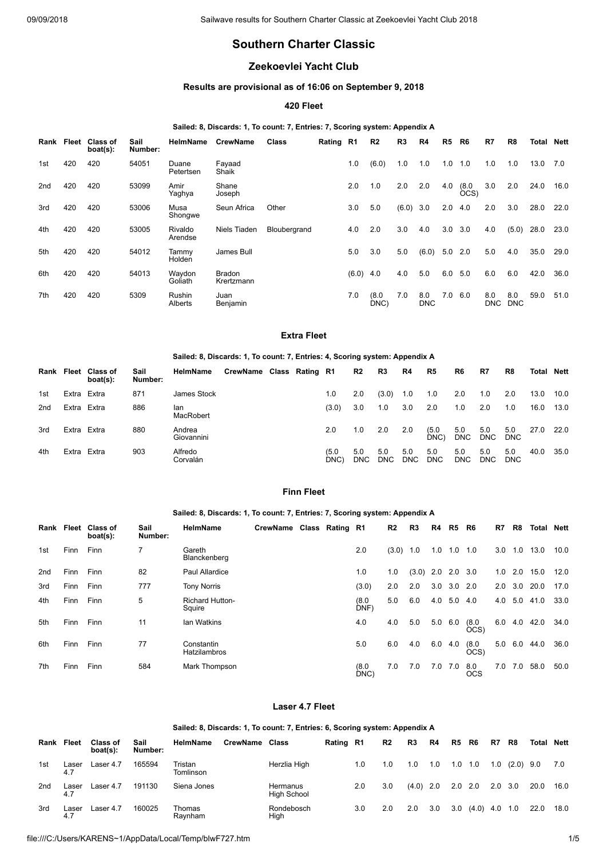# **Southern Charter Classic**

## **Zeekoevlei Yacht Club**

## **Results are provisional as of 16:06 on September 9, 2018**

## **420 Fleet**

## **Sailed: 8, Discards: 1, To count: 7, Entries: 7, Scoring system: Appendix A**

| Rank | Fleet | <b>Class of</b><br>boat(s): | Sail<br>Number: | <b>HelmName</b>    | <b>CrewName</b>             | Class        | Rating R1 |       | R <sub>2</sub> | R3    | R4                | R5  | R6            | R7                | R8                | Total | Nett |
|------|-------|-----------------------------|-----------------|--------------------|-----------------------------|--------------|-----------|-------|----------------|-------|-------------------|-----|---------------|-------------------|-------------------|-------|------|
| 1st  | 420   | 420                         | 54051           | Duane<br>Petertsen | Fayaad<br>Shaik             |              |           | 1.0   | (6.0)          | 1.0   | 1.0               | 1.0 | 1.0           | 1.0               | 1.0               | 13.0  | 7.0  |
| 2nd  | 420   | 420                         | 53099           | Amir<br>Yaghya     | Shane<br>Joseph             |              |           | 2.0   | 1.0            | 2.0   | 2.0               | 4.0 | (8.0)<br>OCS) | 3.0               | 2.0               | 24.0  | 16.0 |
| 3rd  | 420   | 420                         | 53006           | Musa<br>Shongwe    | Seun Africa                 | Other        |           | 3.0   | 5.0            | (6.0) | 3.0               | 2.0 | 4.0           | 2.0               | 3.0               | 28.0  | 22.0 |
| 4th  | 420   | 420                         | 53005           | Rivaldo<br>Arendse | Niels Tiaden                | Bloubergrand |           | 4.0   | 2.0            | 3.0   | 4.0               | 3.0 | 3.0           | 4.0               | (5.0)             | 28.0  | 23.0 |
| 5th  | 420   | 420                         | 54012           | Tammv<br>Holden    | James Bull                  |              |           | 5.0   | 3.0            | 5.0   | (6.0)             | 5.0 | 2.0           | 5.0               | 4.0               | 35.0  | 29.0 |
| 6th  | 420   | 420                         | 54013           | Waydon<br>Goliath  | <b>Bradon</b><br>Krertzmann |              |           | (6.0) | 4.0            | 4.0   | 5.0               | 6.0 | 5.0           | 6.0               | 6.0               | 42.0  | 36.0 |
| 7th  | 420   | 420                         | 5309            | Rushin<br>Alberts  | Juan<br>Benjamin            |              |           | 7.0   | (8.0)<br>DNC)  | 7.0   | 8.0<br><b>DNC</b> | 7.0 | 6.0           | 8.0<br><b>DNC</b> | 8.0<br><b>DNC</b> | 59.0  | 51.0 |

#### **Extra Fleet**

#### **Sailed: 8, Discards: 1, To count: 7, Entries: 4, Scoring system: Appendix A**

|     | Rank Fleet  | <b>Class of</b><br>boat(s): | Sail<br>Number: | HelmName             | CrewName Class Rating R1 |  |              | R2                | R3                | R4                | R <sub>5</sub>    | R6                | R7                | R8                | <b>Total Nett</b> |      |
|-----|-------------|-----------------------------|-----------------|----------------------|--------------------------|--|--------------|-------------------|-------------------|-------------------|-------------------|-------------------|-------------------|-------------------|-------------------|------|
| 1st | Extra Extra |                             | 871             | James Stock          |                          |  | 1.0          | 2.0               | (3.0)             | 1.0               | 1.0               | 2.0               | 1.0               | 2.0               | 13.0              | 10.0 |
| 2nd | Extra Extra |                             | 886             | lan<br>MacRobert     |                          |  | (3.0)        | 3.0               | 1.0               | 3.0               | 2.0               | 1.0               | 2.0               | 1.0               | 16.0              | 13.0 |
| 3rd | Extra Extra |                             | 880             | Andrea<br>Giovannini |                          |  | 2.0          | 1.0               | 2.0               | 2.0               | (5.0)<br>DNC)     | 5.0<br><b>DNC</b> | 5.0<br><b>DNC</b> | 5.0<br><b>DNC</b> | 27.0              | 22.0 |
| 4th | Extra Extra |                             | 903             | Alfredo<br>Corvalán  |                          |  | (5.0<br>DNC) | 5.0<br><b>DNC</b> | 5.0<br><b>DNC</b> | 5.0<br><b>DNC</b> | 5.0<br><b>DNC</b> | 5.0<br><b>DNC</b> | 5.0<br><b>DNC</b> | 5.0<br><b>DNC</b> | 40.0              | 35.0 |

## **Finn Fleet**

#### **Sailed: 8, Discards: 1, To count: 7, Entries: 7, Scoring system: Appendix A**

| Rank Fleet |             | <b>Class of</b><br>boat(s): | Sail<br>Number: | <b>HelmName</b>                   | CrewName Class Rating R1 |  |               | R2    | R3          | R4  | R5        | R6                | R7  | R8  | Total | Nett |
|------------|-------------|-----------------------------|-----------------|-----------------------------------|--------------------------|--|---------------|-------|-------------|-----|-----------|-------------------|-----|-----|-------|------|
| 1st        | <b>Finn</b> | Finn                        |                 | Gareth<br>Blanckenberg            |                          |  | 2.0           | (3.0) | 1.0         | 1.0 | 1.0       | 1.0               | 3.0 | 1.0 | 13.0  | 10.0 |
| 2nd        | Finn        | Finn                        | 82              | Paul Allardice                    |                          |  | 1.0           | 1.0   | $(3.0)$ 2.0 |     | $2.0$ 3.0 |                   | 1.0 | 2.0 | 15.0  | 12.0 |
| 3rd        | Finn        | Finn                        | 777             | <b>Tony Norris</b>                |                          |  | (3.0)         | 2.0   | 2.0         | 3.0 | $3.0$ 2.0 |                   | 2.0 | 3.0 | 20.0  | 17.0 |
| 4th        | Finn        | Finn                        | 5               | <b>Richard Hutton-</b><br>Squire  |                          |  | (8.0)<br>DNF) | 5.0   | 6.0         | 4.0 | 5.0       | 4.0               | 4.0 | 5.0 | 41.0  | 33.0 |
| 5th        | Finn        | Finn                        | 11              | <b>Ian Watkins</b>                |                          |  | 4.0           | 4.0   | 5.0         | 5.0 | 6.0       | (8.0)<br>OCS)     | 6.0 | 4.0 | 42.0  | 34.0 |
| 6th        | <b>Finn</b> | Finn                        | 77              | Constantin<br><b>Hatzilambros</b> |                          |  | 5.0           | 6.0   | 4.0         | 6.0 | 4.0       | (8.0)<br>OCS)     | 5.0 | 6.0 | 44.0  | 36.0 |
| 7th        | <b>Finn</b> | Finn                        | 584             | Mark Thompson                     |                          |  | (8.0)<br>DNC) | 7.0   | 7.0         | 7.0 | 7.0       | 8.0<br><b>OCS</b> | 7.0 | 7.0 | 58.0  | 50.0 |

#### **Laser 4.7 Fleet**

#### **Sailed: 8, Discards: 1, To count: 7, Entries: 6, Scoring system: Appendix A**

| Rank            | <b>Fleet</b> | Class of<br>boat(s): | Sail<br>Number: | <b>HelmName</b>      | <b>CrewName</b> | Class                   | Rating R1 |     | R2  | R <sub>3</sub> | R4  | R5            | R6    | R7             | R8    | Total | Nett |
|-----------------|--------------|----------------------|-----------------|----------------------|-----------------|-------------------------|-----------|-----|-----|----------------|-----|---------------|-------|----------------|-------|-------|------|
| 1st             | aser<br>4.7  | Laser 4.7            | 165594          | Tristan<br>Tomlinson |                 | Herzlia High            |           | 1.0 | 1.0 | 1.0            | 1.0 | 1.0           | 1.0   | 1.0            | (2.0) | 9.0   | 7.0  |
| 2 <sub>nd</sub> | Laser<br>4.7 | Laser 4.7            | 191130          | Siena Jones          |                 | Hermanus<br>High School |           | 2.0 | 3.0 | $(4.0)$ 2.0    |     | $2.0\quad2.0$ |       | $2.0\quad 3.0$ |       | 20.0  | 16.0 |
| 3rd             | aser<br>4.7  | Laser 4.7            | 160025          | Thomas<br>Ravnham    |                 | Rondebosch<br>High      |           | 3.0 | 2.0 | 2.0            | 3.0 | 3.0           | (4.0) | 4.0            | 1.0   | 22.0  | 18.0 |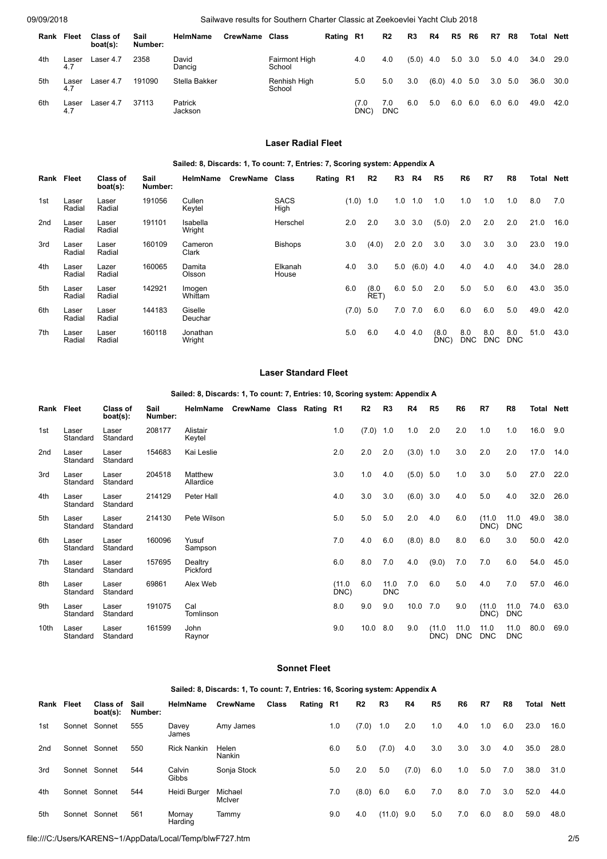09/09/2018 Sailwave results for Southern Charter Classic at Zeekoevlei Yacht Club 2018

| Rank | Fleet        | <b>Class of</b><br>$boat(s)$ : | Sail<br>Number: | <b>HelmName</b>    | CrewName | Class                          | Rating R1 |             | R2                | R3    | R4              | R5  | R6             | R7  | R8  | <b>Total Nett</b> |      |
|------|--------------|--------------------------------|-----------------|--------------------|----------|--------------------------------|-----------|-------------|-------------------|-------|-----------------|-----|----------------|-----|-----|-------------------|------|
| 4th  | ∟aser<br>4.7 | Laser 4.7                      | 2358            | David<br>Dancig    |          | <b>Fairmont High</b><br>School |           | 4.0         | 4.0               | (5.0) | 4.0             |     | $5.0\quad 3.0$ | 5.0 | 4.0 | 34.0              | 29.0 |
| 5th  | Laser<br>4.7 | Laser 4.7                      | 191090          | Stella Bakker      |          | Renhish High<br>School         |           | 5.0         | 5.0               | 3.0   | $(6.0)$ 4.0 5.0 |     |                | 3.0 | 5.0 | 36.0              | 30.0 |
| 6th  | Laser<br>4.7 | Laser 4.7                      | 37113           | Patrick<br>Jackson |          |                                |           | 7.0<br>DNC) | 7.0<br><b>DNC</b> | 6.0   | 5.0             | 6.0 | 6.0            | 6.0 | 6.0 | 49.0              | 42.0 |

## **Laser Radial Fleet**

## **Sailed: 8, Discards: 1, To count: 7, Entries: 7, Scoring system: Appendix A**

| Rank Fleet |                 | Class of<br>boat(s): | Sail<br>Number: | <b>HelmName</b>    | <b>CrewName</b> | Class               | Rating R1 |       | R2            | R3  | R4    | R5            | R6                | R7                | R8                | Total | Nett |
|------------|-----------------|----------------------|-----------------|--------------------|-----------------|---------------------|-----------|-------|---------------|-----|-------|---------------|-------------------|-------------------|-------------------|-------|------|
| 1st        | Laser<br>Radial | Laser<br>Radial      | 191056          | Cullen<br>Keytel   |                 | <b>SACS</b><br>High |           | (1.0) | 1.0           | 1.0 | 1.0   | 1.0           | 1.0               | 1.0               | 1.0               | 8.0   | 7.0  |
| 2nd        | Laser<br>Radial | Laser<br>Radial      | 191101          | Isabella<br>Wright |                 | Herschel            |           | 2.0   | 2.0           | 3.0 | 3.0   | (5.0)         | 2.0               | 2.0               | 2.0               | 21.0  | 16.0 |
| 3rd        | Laser<br>Radial | Laser<br>Radial      | 160109          | Cameron<br>Clark   |                 | <b>Bishops</b>      |           | 3.0   | (4.0)         | 2.0 | 2.0   | 3.0           | 3.0               | 3.0               | 3.0               | 23.0  | 19.0 |
| 4th        | Laser<br>Radial | Lazer<br>Radial      | 160065          | Damita<br>Olsson   |                 | Elkanah<br>House    |           | 4.0   | 3.0           | 5.0 | (6.0) | 4.0           | 4.0               | 4.0               | 4.0               | 34.0  | 28.0 |
| 5th        | Laser<br>Radial | Laser<br>Radial      | 142921          | Imogen<br>Whittam  |                 |                     |           | 6.0   | (8.0)<br>RET) | 6.0 | 5.0   | 2.0           | 5.0               | 5.0               | 6.0               | 43.0  | 35.0 |
| 6th        | Laser<br>Radial | Laser<br>Radial      | 144183          | Giselle<br>Deuchar |                 |                     |           | (7.0) | 5.0           | 7.0 | 7.0   | 6.0           | 6.0               | 6.0               | 5.0               | 49.0  | 42.0 |
| 7th        | Laser<br>Radial | Laser<br>Radial      | 160118          | Jonathan<br>Wright |                 |                     |           | 5.0   | 6.0           | 4.0 | 4.0   | (8.0)<br>DNC) | 8.0<br><b>DNC</b> | 8.0<br><b>DNC</b> | 8.0<br><b>DNC</b> | 51.0  | 43.0 |

#### **Laser Standard Fleet**

## **Sailed: 8, Discards: 1, To count: 7, Entries: 10, Scoring system: Appendix A**

| Rank Fleet      |                   | Class of<br>boat(s): | Sail<br>Number: | HelmName             | CrewName Class Rating R1 |  |                | R2    | R3                 | R4          | R5             | R6          | R7             | R8                 | <b>Total Nett</b> |      |
|-----------------|-------------------|----------------------|-----------------|----------------------|--------------------------|--|----------------|-------|--------------------|-------------|----------------|-------------|----------------|--------------------|-------------------|------|
| 1st             | Laser<br>Standard | Laser<br>Standard    | 208177          | Alistair<br>Keytel   |                          |  | 1.0            | (7.0) | 1.0                | 1.0         | 2.0            | 2.0         | 1.0            | 1.0                | 16.0              | 9.0  |
| 2 <sub>nd</sub> | Laser<br>Standard | Laser<br>Standard    | 154683          | Kai Leslie           |                          |  | 2.0            | 2.0   | 2.0                | $(3.0)$ 1.0 |                | 3.0         | 2.0            | 2.0                | 17.0              | 14.0 |
| 3rd             | Laser<br>Standard | Laser<br>Standard    | 204518          | Matthew<br>Allardice |                          |  | 3.0            | 1.0   | 4.0                | $(5.0)$ 5.0 |                | 1.0         | 3.0            | 5.0                | 27.0              | 22.0 |
| 4th             | Laser<br>Standard | Laser<br>Standard    | 214129          | Peter Hall           |                          |  | 4.0            | 3.0   | 3.0                | $(6.0)$ 3.0 |                | 4.0         | 5.0            | 4.0                | 32.0              | 26.0 |
| 5th             | Laser<br>Standard | Laser<br>Standard    | 214130          | Pete Wilson          |                          |  | 5.0            | 5.0   | 5.0                | 2.0         | 4.0            | 6.0         | (11.0)<br>DNC) | 11.0<br><b>DNC</b> | 49.0              | 38.0 |
| 6th             | Laser<br>Standard | Laser<br>Standard    | 160096          | Yusuf<br>Sampson     |                          |  | 7.0            | 4.0   | 6.0                | $(8.0)$ 8.0 |                | 8.0         | 6.0            | 3.0                | 50.0              | 42.0 |
| 7th             | Laser<br>Standard | Laser<br>Standard    | 157695          | Dealtry<br>Pickford  |                          |  | 6.0            | 8.0   | 7.0                | 4.0         | (9.0)          | 7.0         | 7.0            | 6.0                | 54.0              | 45.0 |
| 8th             | Laser<br>Standard | Laser<br>Standard    | 69861           | Alex Web             |                          |  | (11.0)<br>DNC) | 6.0   | 11.0<br><b>DNC</b> | 7.0         | 6.0            | 5.0         | 4.0            | 7.0                | 57.0              | 46.0 |
| 9th             | Laser<br>Standard | Laser<br>Standard    | 191075          | Cal<br>Tomlinson     |                          |  | 8.0            | 9.0   | 9.0                | 10.0 7.0    |                | 9.0         | (11.0)<br>DNC) | 11.0<br><b>DNC</b> | 74.0              | 63.0 |
| 10th            | Laser<br>Standard | Laser<br>Standard    | 161599          | John<br>Raynor       |                          |  | 9.0            | 10.0  | 8.0                | 9.0         | (11.0)<br>DNC) | 11.0<br>DNC | 11.0<br>DNC    | 11.0<br><b>DNC</b> | 80.0              | 69.0 |

## **Sonnet Fleet**

#### **Sailed: 8, Discards: 1, To count: 7, Entries: 16, Scoring system: Appendix A**

| Rank            | Fleet         | Class of<br>$boat(s)$ : | Sail<br>Number: | HelmName           | <b>CrewName</b>   | <b>Class</b> | Rating R1 |     | R2    | R3           | R4    | R5  | R6  | R7  | R8  | <b>Total</b> | <b>Nett</b> |
|-----------------|---------------|-------------------------|-----------------|--------------------|-------------------|--------------|-----------|-----|-------|--------------|-------|-----|-----|-----|-----|--------------|-------------|
| 1st             | Sonnet Sonnet |                         | 555             | Davey<br>James     | Amy James         |              |           | 1.0 | (7.0) | 1.0          | 2.0   | 1.0 | 4.0 | 1.0 | 6.0 | 23.0         | 16.0        |
| 2 <sub>nd</sub> | Sonnet Sonnet |                         | 550             | <b>Rick Nankin</b> | Helen<br>Nankin   |              |           | 6.0 | 5.0   | (7.0)        | 4.0   | 3.0 | 3.0 | 3.0 | 4.0 | 35.0         | 28.0        |
| 3rd             | Sonnet Sonnet |                         | 544             | Calvin<br>Gibbs    | Sonja Stock       |              |           | 5.0 | 2.0   | 5.0          | (7.0) | 6.0 | 1.0 | 5.0 | 7.0 | 38.0         | 31.0        |
| 4th             | Sonnet Sonnet |                         | 544             | Heidi Burger       | Michael<br>McIver |              |           | 7.0 | (8.0) | 6.0          | 6.0   | 7.0 | 8.0 | 7.0 | 3.0 | 52.0         | 44.0        |
| 5th             | Sonnet Sonnet |                         | 561             | Mornay<br>Harding  | Tammy             |              |           | 9.0 | 4.0   | $(11.0)$ 9.0 |       | 5.0 | 7.0 | 6.0 | 8.0 | 59.0         | 48.0        |

file:///C:/Users/KARENS~1/AppData/Local/Temp/blwF727.htm 2/5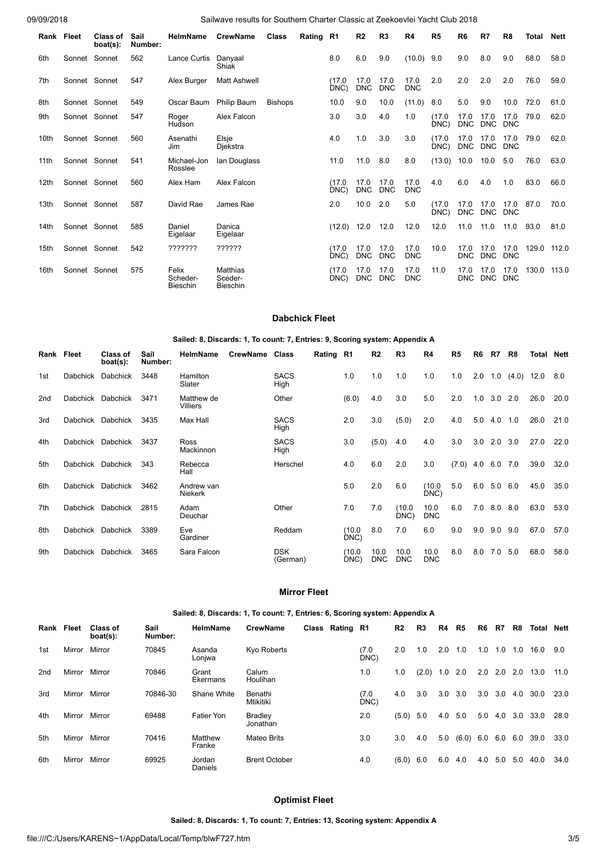09/09/2018 Sailwave results for Southern Charter Classic at Zeekoevlei Yacht Club 2018

|                  | Rank Fleet | <b>Class of</b><br>boat(s): | Sail<br>Number: | <b>HelmName</b>                      | <b>CrewName</b>                        | Class          | Rating R1 |                | R <sub>2</sub>     | R <sub>3</sub>     | R4                 | R <sub>5</sub> | R <sub>6</sub>     | R7                 | R8                 | Total | <b>Nett</b> |
|------------------|------------|-----------------------------|-----------------|--------------------------------------|----------------------------------------|----------------|-----------|----------------|--------------------|--------------------|--------------------|----------------|--------------------|--------------------|--------------------|-------|-------------|
| 6th              |            | Sonnet Sonnet               | 562             | Lance Curtis                         | Danyaal<br>Shiak                       |                |           | 8.0            | 6.0                | 9.0                | $(10.0)$ 9.0       |                | 9.0                | 8.0                | 9.0                | 68.0  | 58.0        |
| 7th              |            | Sonnet Sonnet               | 547             | Alex Burger                          | <b>Matt Ashwell</b>                    |                |           | (17.0)<br>DNC) | 17.0<br><b>DNC</b> | 17.0<br><b>DNC</b> | 17.0<br><b>DNC</b> | 2.0            | 2.0                | 2.0                | 2.0                | 76.0  | 59.0        |
| 8th              |            | Sonnet Sonnet               | 549             | Oscar Baum                           | <b>Philip Baum</b>                     | <b>Bishops</b> |           | 10.0           | 9.0                | 10.0               | (11.0)             | 8.0            | 5.0                | 9.0                | 10.0               | 72.0  | 61.0        |
| 9th              |            | Sonnet Sonnet               | 547             | Roger<br>Hudson                      | Alex Falcon                            |                |           | 3.0            | 3.0                | 4.0                | 1.0                | (17.0)<br>DNC) | 17.0<br><b>DNC</b> | 17.0<br><b>DNC</b> | 17.0<br><b>DNC</b> | 79.0  | 62.0        |
| 10th             |            | Sonnet Sonnet               | 560             | Asenathi<br>Jim                      | Elsje<br>Djekstra                      |                |           | 4.0            | 1.0                | 3.0                | 3.0                | (17.0)<br>DNC) | 17.0<br><b>DNC</b> | 17.0<br><b>DNC</b> | 17.0<br><b>DNC</b> | 79.0  | 62.0        |
| 11th             |            | Sonnet Sonnet               | 541             | Michael-Jon<br>Rosslee               | Ian Douglass                           |                |           | 11.0           | 11.0               | 8.0                | 8.0                | (13.0)         | 10.0               | 10.0               | 5.0                | 76.0  | 63.0        |
| 12th             |            | Sonnet Sonnet               | 560             | Alex Ham                             | Alex Falcon                            |                |           | (17.0)<br>DNC) | 17.0<br><b>DNC</b> | 17.0<br><b>DNC</b> | 17.0<br><b>DNC</b> | 4.0            | 6.0                | 4.0                | 1.0                | 83.0  | 66.0        |
| 13 <sub>th</sub> |            | Sonnet Sonnet               | 587             | David Rae                            | James Rae                              |                |           | 2.0            | 10.0               | 2.0                | 5.0                | (17.0)<br>DNC  | 17.0<br><b>DNC</b> | 17.0<br><b>DNC</b> | 17.0<br><b>DNC</b> | 87.0  | 70.0        |
| 14th             |            | Sonnet Sonnet               | 585             | Daniel<br>Eigelaar                   | Danica<br>Eigelaar                     |                |           | (12.0)         | 12.0               | 12.0               | 12.0               | 12.0           | 11.0               | 11.0               | 11.0               | 93.0  | 81.0        |
| 15th             |            | Sonnet Sonnet               | 542             | ???????                              | ??????                                 |                |           | (17.0)<br>DNC) | 17.0<br><b>DNC</b> | 17.0<br><b>DNC</b> | 17.0<br><b>DNC</b> | 10.0           | 17.0<br><b>DNC</b> | 17.0<br><b>DNC</b> | 17.0<br><b>DNC</b> | 129.0 | 112.0       |
| 16th             |            | Sonnet Sonnet               | 575             | Felix<br>Scheder-<br><b>Bieschin</b> | Matthias<br>Sceder-<br><b>Bieschin</b> |                |           | (17.0)<br>DNC) | 17.0<br><b>DNC</b> | 17.0<br><b>DNC</b> | 17.0<br><b>DNC</b> | 11.0           | 17.0<br><b>DNC</b> | 17.0<br><b>DNC</b> | 17.0<br><b>DNC</b> | 130.0 | 113.0       |

## **Dabchick Fleet**

**Sailed: 8, Discards: 1, To count: 7, Entries: 9, Scoring system: Appendix A**

| Rank Fleet |                 | <b>Class of</b><br>boat(s): | Sail<br>Number: | <b>HelmName</b>        | CrewName | Class                  | Rating | R1            | R <sub>2</sub>     | R <sub>3</sub>     | R4                 | R5    | R6  | R7          | R8    | Total | Nett |
|------------|-----------------|-----------------------------|-----------------|------------------------|----------|------------------------|--------|---------------|--------------------|--------------------|--------------------|-------|-----|-------------|-------|-------|------|
| 1st        | Dabchick        | Dabchick                    | 3448            | Hamilton<br>Slater     |          | <b>SACS</b><br>High    |        | 1.0           | 1.0                | 1.0                | 1.0                | 1.0   | 2.0 | 1.0         | (4.0) | 12.0  | 8.0  |
| 2nd        | Dabchick        | Dabchick                    | 3471            | Matthew de<br>Villiers |          | Other                  |        | (6.0)         | 4.0                | 3.0                | 5.0                | 2.0   | 1.0 | 3.0         | 2.0   | 26.0  | 20.0 |
| 3rd        |                 | Dabchick Dabchick           | 3435            | Max Hall               |          | <b>SACS</b><br>High    |        | 2.0           | 3.0                | (5.0)              | 2.0                | 4.0   | 5.0 | 4.0         | 1.0   | 26.0  | 21.0 |
| 4th        | <b>Dabchick</b> | Dabchick                    | 3437            | Ross<br>Mackinnon      |          | <b>SACS</b><br>High    |        | 3.0           | (5.0)              | 4.0                | 4.0                | 3.0   | 3.0 | 2.0         | 3.0   | 27.0  | 22.0 |
| 5th        | Dabchick        | Dabchick                    | 343             | Rebecca<br>Hall        |          | Herschel               |        | 4.0           | 6.0                | 2.0                | 3.0                | (7.0) | 4.0 | 6.0         | 7.0   | 39.0  | 32.0 |
| 6th        | Dabchick        | Dabchick                    | 3462            | Andrew van<br>Niekerk  |          |                        |        | 5.0           | 2.0                | 6.0                | (10.0<br>DNC)      | 5.0   |     | 6.0 5.0 6.0 |       | 45.0  | 35.0 |
| 7th        | Dabchick        | Dabchick                    | 2815            | Adam<br>Deuchar        |          | Other                  |        | 7.0           | 7.0                | (10.0)<br>DNC)     | 10.0<br><b>DNC</b> | 6.0   |     | 7.0 8.0 8.0 |       | 63.0  | 53.0 |
| 8th        | Dabchick        | Dabchick                    | 3389            | Eve<br>Gardiner        |          | Reddam                 |        | (10.0)<br>DNC | 8.0                | 7.0                | 6.0                | 9.0   | 9.0 | 9.0         | 9.0   | 67.0  | 57.0 |
| 9th        | Dabchick        | Dabchick                    | 3465            | Sara Falcon            |          | <b>DSK</b><br>(German) |        | (10.0)<br>DNC | 10.0<br><b>DNC</b> | 10.0<br><b>DNC</b> | 10.0<br><b>DNC</b> | 8.0   | 8.0 | 7.0         | 5.0   | 68.0  | 58.0 |

#### **Mirror Fleet**

**Sailed: 8, Discards: 1, To count: 7, Entries: 6, Scoring system: Appendix A**

| Rank | Fleet  | Class of<br>$boat(s)$ : | Sail<br>Number: | <b>HelmName</b>   | <b>CrewName</b>      | Class Rating R1 |             | R <sub>2</sub> | R3    | R4  | R <sub>5</sub> | R6  | R7  | R8  | Total | Nett |
|------|--------|-------------------------|-----------------|-------------------|----------------------|-----------------|-------------|----------------|-------|-----|----------------|-----|-----|-----|-------|------|
| 1st  | Mirror | Mirror                  | 70845           | Asanda<br>Lonjwa  | Kyo Roberts          |                 | (7.0<br>DNC | 2.0            | 1.0   | 2.0 | 1.0            | 1.0 | 1.0 | 1.0 | 16.0  | 9.0  |
| 2nd  | Mirror | Mirror                  | 70846           | Grant<br>Ekermans | Calum<br>Houlihan    |                 | 1.0         | 1.0            | (2.0) | 1.0 | 2.0            | 2.0 | 2.0 | 2.0 | 13.0  | 11.0 |
| 3rd  | Mirror | Mirror                  | 70846-30        | Shane White       | Benathi<br>Mtikitiki |                 | (7.0<br>DNC | 4.0            | 3.0   | 3.0 | 3.0            | 3.0 | 3.0 | 4.0 | 30.0  | 23.0 |
| 4th  | Mirror | Mirror                  | 69488           | Fatier Yon        | Bradley<br>Jonathan  |                 | 2.0         | (5.0)          | 5.0   | 4.0 | 5.0            | 5.0 | 4.0 | 3.0 | 33.0  | 28.0 |
| 5th  | Mirror | Mirror                  | 70416           | Matthew<br>Franke | <b>Mateo Brits</b>   |                 | 3.0         | 3.0            | 4.0   | 5.0 | (6.0)          | 6.0 | 6.0 | 6.0 | 39.0  | 33.0 |
| 6th  | Mirror | Mirror                  | 69925           | Jordan<br>Daniels | <b>Brent October</b> |                 | 4.0         | (6.0)          | 6.0   | 6.0 | 4.0            | 4.0 | 5.0 | 5.0 | 40.0  | 34.0 |

## **Optimist Fleet**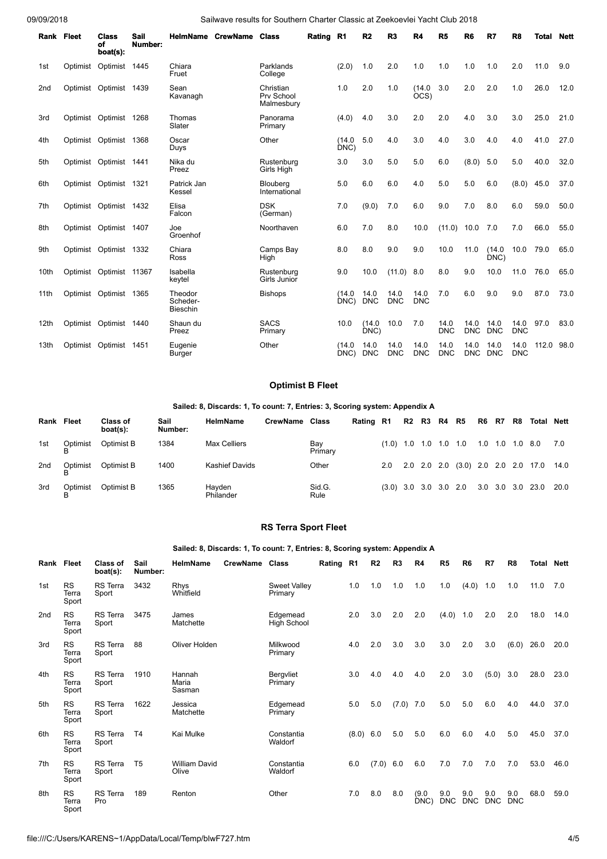## 09/09/2018 Sailwave results for Southern Charter Classic at Zeekoevlei Yacht Club 2018

| <b>Rank Fleet</b> |          | Class<br>of<br>boat(s): | <b>Sail</b><br>Number: | <b>HelmName</b>                        | <b>CrewName</b> | <b>Class</b>                          | Rating R1 |                | R <sub>2</sub>     | R <sub>3</sub>     | <b>R4</b>          | R <sub>5</sub>     | R <sub>6</sub>     | R7                 | R <sub>8</sub>     | <b>Total</b> | <b>Nett</b> |
|-------------------|----------|-------------------------|------------------------|----------------------------------------|-----------------|---------------------------------------|-----------|----------------|--------------------|--------------------|--------------------|--------------------|--------------------|--------------------|--------------------|--------------|-------------|
| 1st               | Optimist | Optimist                | 1445                   | Chiara<br>Fruet                        |                 | Parklands<br>College                  |           | (2.0)          | 1.0                | 2.0                | 1.0                | 1.0                | 1.0                | 1.0                | 2.0                | 11.0         | 9.0         |
| 2 <sub>nd</sub>   |          | Optimist Optimist 1439  |                        | Sean<br>Kavanagh                       |                 | Christian<br>Prv School<br>Malmesbury |           | 1.0            | 2.0                | 1.0                | (14.0)<br>OCS)     | 3.0                | 2.0                | 2.0                | 1.0                | 26.0         | 12.0        |
| 3rd               |          | Optimist Optimist 1268  |                        | Thomas<br>Slater                       |                 | Panorama<br>Primary                   |           | (4.0)          | 4.0                | 3.0                | 2.0                | 2.0                | 4.0                | 3.0                | 3.0                | 25.0         | 21.0        |
| 4th               |          | Optimist Optimist 1368  |                        | Oscar<br>Duys                          |                 | Other                                 |           | (14.0)<br>DNC) | 5.0                | 4.0                | 3.0                | 4.0                | 3.0                | 4.0                | 4.0                | 41.0         | 27.0        |
| 5th               |          | Optimist Optimist 1441  |                        | Nika du<br>Preez                       |                 | Rustenburg<br>Girls High              |           | 3.0            | 3.0                | 5.0                | 5.0                | 6.0                | (8.0)              | 5.0                | 5.0                | 40.0         | 32.0        |
| 6th               |          | Optimist Optimist 1321  |                        | Patrick Jan<br>Kessel                  |                 | Blouberg<br>International             |           | 5.0            | 6.0                | 6.0                | 4.0                | 5.0                | 5.0                | 6.0                | (8.0)              | 45.0         | 37.0        |
| 7th               |          | Optimist Optimist 1432  |                        | Elisa<br>Falcon                        |                 | <b>DSK</b><br>(German)                |           | 7.0            | (9.0)              | 7.0                | 6.0                | 9.0                | 7.0                | 8.0                | 6.0                | 59.0         | 50.0        |
| 8th               |          | Optimist Optimist 1407  |                        | Joe<br>Groenhof                        |                 | Noorthaven                            |           | 6.0            | 7.0                | 8.0                | 10.0               | (11.0)             | 10.0               | 7.0                | 7.0                | 66.0         | 55.0        |
| 9th               |          | Optimist Optimist 1332  |                        | Chiara<br>Ross                         |                 | Camps Bay<br>High                     |           | 8.0            | 8.0                | 9.0                | 9.0                | 10.0               | 11.0               | (14.0)<br>DNC)     | 10.0               | 79.0         | 65.0        |
| 10th              |          | Optimist Optimist 11367 |                        | Isabella<br>keytel                     |                 | Rustenburg<br>Girls Junior            |           | 9.0            | 10.0               | (11.0)             | 8.0                | 8.0                | 9.0                | 10.0               | 11.0               | 76.0         | 65.0        |
| 11th              |          | Optimist Optimist       | 1365                   | Theodor<br>Scheder-<br><b>Bieschin</b> |                 | <b>Bishops</b>                        |           | (14.0)<br>DNC) | 14.0<br><b>DNC</b> | 14.0<br><b>DNC</b> | 14.0<br><b>DNC</b> | 7.0                | 6.0                | 9.0                | 9.0                | 87.0         | 73.0        |
| 12th              |          | Optimist Optimist 1440  |                        | Shaun du<br>Preez                      |                 | <b>SACS</b><br>Primary                |           | 10.0           | (14.0)<br>DNC)     | 10.0               | 7.0                | 14.0<br><b>DNC</b> | 14.0<br><b>DNC</b> | 14.0<br><b>DNC</b> | 14.0<br><b>DNC</b> | 97.0         | 83.0        |
| 13th              |          | Optimist Optimist       | 1451                   | Eugenie<br><b>Burger</b>               |                 | Other                                 |           | (14.0)<br>DNC) | 14.0<br><b>DNC</b> | 14.0<br><b>DNC</b> | 14.0<br><b>DNC</b> | 14.0<br><b>DNC</b> | 14.0<br><b>DNC</b> | 14.0<br><b>DNC</b> | 14.0<br><b>DNC</b> | 112.0        | 98.0        |

# **Optimist B Fleet**

#### **Sailed: 8, Discards: 1, To count: 7, Entries: 3, Scoring system: Appendix A**

| Rank | <b>Fleet</b> | Class of<br>boat(s): | Sail<br>Number: | HelmName              | CrewName | Class          | Rating R1 |                         | R2 R3 R4 R5 |  | R6 R7           | R8 | Total Nett                              |     |
|------|--------------|----------------------|-----------------|-----------------------|----------|----------------|-----------|-------------------------|-------------|--|-----------------|----|-----------------------------------------|-----|
| 1st  | Optimist     | Optimist B           | 1384            | <b>Max Celliers</b>   |          | Bay<br>Primary |           | $(1.0)$ 1.0 1.0 1.0 1.0 |             |  | 1.0 1.0 1.0 8.0 |    |                                         | 7.0 |
| 2nd  | Optimist     | Optimist B           | 1400            | <b>Kashief Davids</b> |          | Other          |           | 2.0                     |             |  |                 |    | 2.0 2.0 2.0 (3.0) 2.0 2.0 2.0 17.0 14.0 |     |
| 3rd  | Optimist     | Optimist B           | 1365            | Havden<br>Philander   |          | Sid.G.<br>Rule |           | $(3.0)$ 3.0 3.0 3.0 2.0 |             |  |                 |    | 3.0 3.0 3.0 23.0 20.0                   |     |

## **RS Terra Sport Fleet**

## **Sailed: 8, Discards: 1, To count: 7, Entries: 8, Scoring system: Appendix A**

| Rank Fleet      |                             | Class of<br>boat(s):     | Sail<br>Number: | <b>HelmName</b>               | CrewName Class |                                | Rating R1 |           | R <sub>2</sub> | R <sub>3</sub> | R4            | R <sub>5</sub>    | R <sub>6</sub>    | R7                | R <sub>8</sub>    | Total | <b>Nett</b> |
|-----------------|-----------------------------|--------------------------|-----------------|-------------------------------|----------------|--------------------------------|-----------|-----------|----------------|----------------|---------------|-------------------|-------------------|-------------------|-------------------|-------|-------------|
| 1st             | RS<br>Terra<br>Sport        | <b>RS</b> Terra<br>Sport | 3432            | Rhys<br>Whitfield             |                | <b>Sweet Valley</b><br>Primary |           | 1.0       | 1.0            | 1.0            | 1.0           | 1.0               | (4.0)             | 1.0               | 1.0               | 11.0  | 7.0         |
| 2 <sub>nd</sub> | <b>RS</b><br>Terra<br>Sport | <b>RS</b> Terra<br>Sport | 3475            | James<br>Matchette            |                | Edgemead<br><b>High School</b> |           | 2.0       | 3.0            | 2.0            | 2.0           | (4.0)             | 1.0               | 2.0               | 2.0               | 18.0  | 14.0        |
| 3rd             | <b>RS</b><br>Terra<br>Sport | <b>RS</b> Terra<br>Sport | 88              | Oliver Holden                 |                | Milkwood<br>Primary            |           | 4.0       | 2.0            | 3.0            | 3.0           | 3.0               | 2.0               | 3.0               | (6.0)             | 26.0  | 20.0        |
| 4th             | <b>RS</b><br>Terra<br>Sport | <b>RS</b> Terra<br>Sport | 1910            | Hannah<br>Maria<br>Sasman     |                | Bergvliet<br>Primary           |           | 3.0       | 4.0            | 4.0            | 4.0           | 2.0               | 3.0               | (5.0)             | 3.0               | 28.0  | 23.0        |
| 5th             | <b>RS</b><br>Terra<br>Sport | <b>RS</b> Terra<br>Sport | 1622            | Jessica<br>Matchette          |                | Edgemead<br>Primary            |           | 5.0       | 5.0            | (7.0)          | 7.0           | 5.0               | 5.0               | 6.0               | 4.0               | 44.0  | 37.0        |
| 6th             | <b>RS</b><br>Terra<br>Sport | <b>RS</b> Terra<br>Sport | T <sub>4</sub>  | Kai Mulke                     |                | Constantia<br>Waldorf          |           | (8.0) 6.0 |                | 5.0            | 5.0           | 6.0               | 6.0               | 4.0               | 5.0               | 45.0  | 37.0        |
| 7th             | <b>RS</b><br>Terra<br>Sport | <b>RS</b> Terra<br>Sport | T <sub>5</sub>  | <b>William David</b><br>Olive |                | Constantia<br>Waldorf          |           | 6.0       | (7.0)          | 6.0            | 6.0           | 7.0               | 7.0               | 7.0               | 7.0               | 53.0  | 46.0        |
| 8th             | <b>RS</b><br>Terra<br>Sport | RS Terra<br>Pro          | 189             | Renton                        |                | Other                          |           | 7.0       | 8.0            | 8.0            | (9.0)<br>DNC) | 9.0<br><b>DNC</b> | 9.0<br><b>DNC</b> | 9.0<br><b>DNC</b> | 9.0<br><b>DNC</b> | 68.0  | 59.0        |